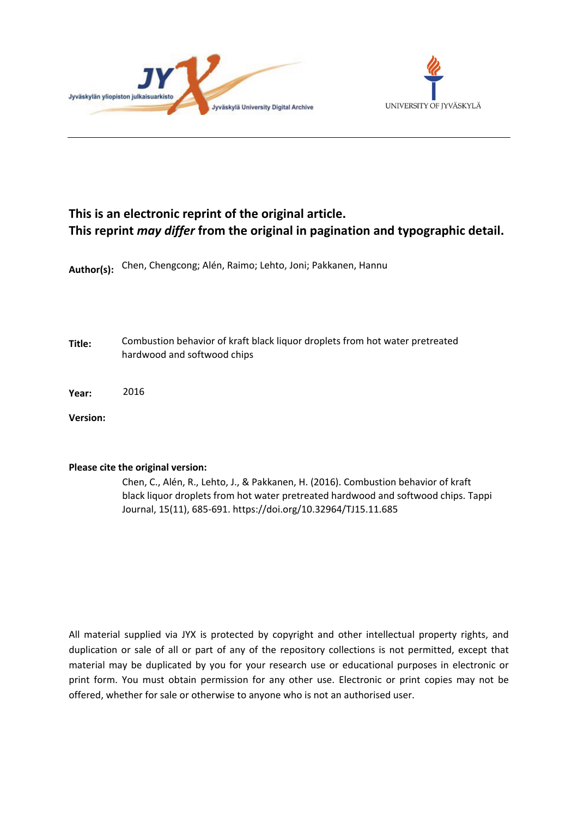



# **This is an electronic reprint of the original article. This reprint** *may differ* **from the original in pagination and typographic detail.**

**Author(s):**  Chen, Chengcong; Alén, Raimo; Lehto, Joni; Pakkanen, Hannu

**Title:** Combustion behavior of kraft black liquor droplets from hot water pretreated hardwood and softwood chips

**Year:**  2016

**Version:**

#### **Please cite the original version:**

Chen, C., Alén, R., Lehto, J., & Pakkanen, H. (2016). Combustion behavior of kraft black liquor droplets from hot water pretreated hardwood and softwood chips. Tappi Journal, 15(11), 685-691. https://doi.org/10.32964/TJ15.11.685

All material supplied via JYX is protected by copyright and other intellectual property rights, and duplication or sale of all or part of any of the repository collections is not permitted, except that material may be duplicated by you for your research use or educational purposes in electronic or print form. You must obtain permission for any other use. Electronic or print copies may not be offered, whether for sale or otherwise to anyone who is not an authorised user.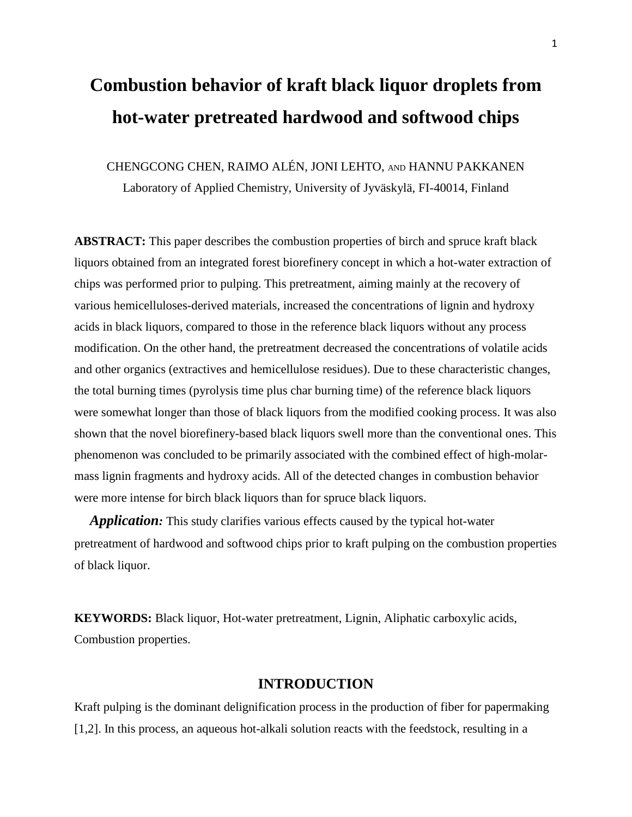# **Combustion behavior of kraft black liquor droplets from hot-water pretreated hardwood and softwood chips**

CHENGCONG CHEN, RAIMO ALÉN, JONI LEHTO, AND HANNU PAKKANEN

Laboratory of Applied Chemistry, University of Jyväskylä, FI-40014, Finland

**ABSTRACT:** This paper describes the combustion properties of birch and spruce kraft black liquors obtained from an integrated forest biorefinery concept in which a hot-water extraction of chips was performed prior to pulping. This pretreatment, aiming mainly at the recovery of various hemicelluloses-derived materials, increased the concentrations of lignin and hydroxy acids in black liquors, compared to those in the reference black liquors without any process modification. On the other hand, the pretreatment decreased the concentrations of volatile acids and other organics (extractives and hemicellulose residues). Due to these characteristic changes, the total burning times (pyrolysis time plus char burning time) of the reference black liquors were somewhat longer than those of black liquors from the modified cooking process. It was also shown that the novel biorefinery-based black liquors swell more than the conventional ones. This phenomenon was concluded to be primarily associated with the combined effect of high-molarmass lignin fragments and hydroxy acids. All of the detected changes in combustion behavior were more intense for birch black liquors than for spruce black liquors.

 *Application:* This study clarifies various effects caused by the typical hot-water pretreatment of hardwood and softwood chips prior to kraft pulping on the combustion properties of black liquor.

**KEYWORDS:** Black liquor, Hot-water pretreatment, Lignin, Aliphatic carboxylic acids, Combustion properties.

# **INTRODUCTION**

Kraft pulping is the dominant delignification process in the production of fiber for papermaking [1,2]. In this process, an aqueous hot-alkali solution reacts with the feedstock, resulting in a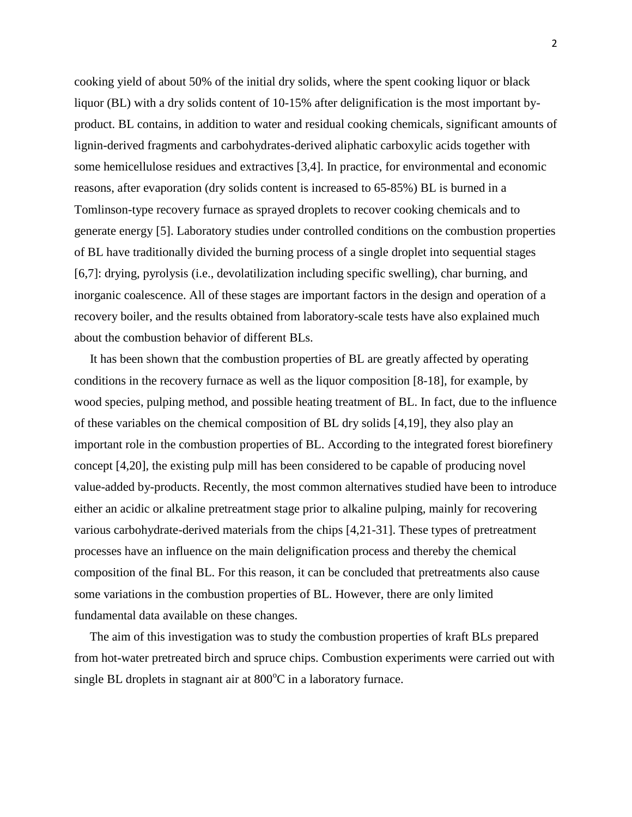cooking yield of about 50% of the initial dry solids, where the spent cooking liquor or black liquor (BL) with a dry solids content of 10-15% after delignification is the most important byproduct. BL contains, in addition to water and residual cooking chemicals, significant amounts of lignin-derived fragments and carbohydrates-derived aliphatic carboxylic acids together with some hemicellulose residues and extractives [3,4]. In practice, for environmental and economic reasons, after evaporation (dry solids content is increased to 65-85%) BL is burned in a Tomlinson-type recovery furnace as sprayed droplets to recover cooking chemicals and to generate energy [5]. Laboratory studies under controlled conditions on the combustion properties of BL have traditionally divided the burning process of a single droplet into sequential stages [6,7]: drying, pyrolysis (i.e., devolatilization including specific swelling), char burning, and inorganic coalescence. All of these stages are important factors in the design and operation of a recovery boiler, and the results obtained from laboratory-scale tests have also explained much about the combustion behavior of different BLs.

 It has been shown that the combustion properties of BL are greatly affected by operating conditions in the recovery furnace as well as the liquor composition [8-18], for example, by wood species, pulping method, and possible heating treatment of BL. In fact, due to the influence of these variables on the chemical composition of BL dry solids [4,19], they also play an important role in the combustion properties of BL. According to the integrated forest biorefinery concept [4,20], the existing pulp mill has been considered to be capable of producing novel value-added by-products. Recently, the most common alternatives studied have been to introduce either an acidic or alkaline pretreatment stage prior to alkaline pulping, mainly for recovering various carbohydrate-derived materials from the chips [4,21-31]. These types of pretreatment processes have an influence on the main delignification process and thereby the chemical composition of the final BL. For this reason, it can be concluded that pretreatments also cause some variations in the combustion properties of BL. However, there are only limited fundamental data available on these changes.

 The aim of this investigation was to study the combustion properties of kraft BLs prepared from hot-water pretreated birch and spruce chips. Combustion experiments were carried out with single BL droplets in stagnant air at  $800^{\circ}$ C in a laboratory furnace.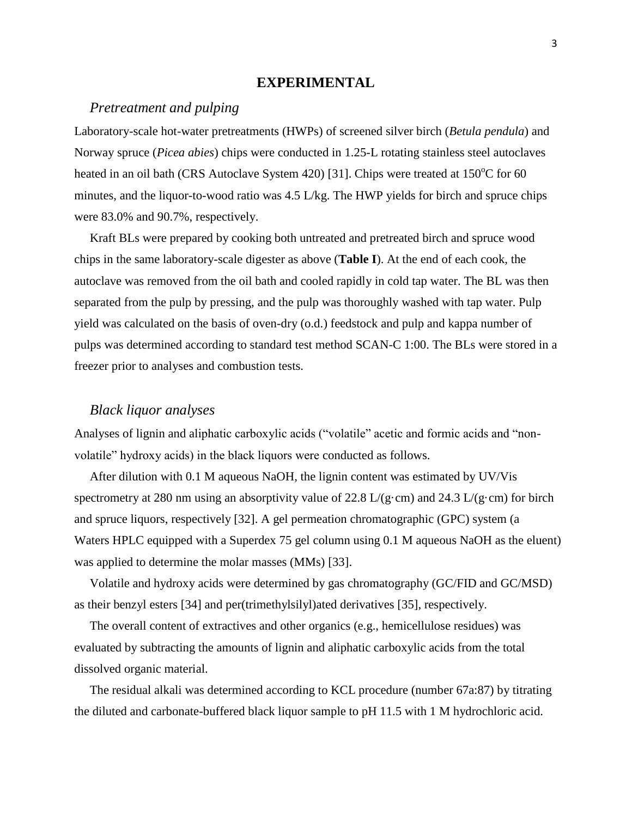#### **EXPERIMENTAL**

# *Pretreatment and pulping*

Laboratory-scale hot-water pretreatments (HWPs) of screened silver birch (*Betula pendula*) and Norway spruce (*Picea abies*) chips were conducted in 1.25-L rotating stainless steel autoclaves heated in an oil bath (CRS Autoclave System 420) [31]. Chips were treated at  $150^{\circ}$ C for 60 minutes, and the liquor-to-wood ratio was 4.5 L/kg. The HWP yields for birch and spruce chips were 83.0% and 90.7%, respectively.

 Kraft BLs were prepared by cooking both untreated and pretreated birch and spruce wood chips in the same laboratory-scale digester as above (**Table I**). At the end of each cook, the autoclave was removed from the oil bath and cooled rapidly in cold tap water. The BL was then separated from the pulp by pressing, and the pulp was thoroughly washed with tap water. Pulp yield was calculated on the basis of oven-dry (o.d.) feedstock and pulp and kappa number of pulps was determined according to standard test method SCAN-C 1:00. The BLs were stored in a freezer prior to analyses and combustion tests.

## *Black liquor analyses*

Analyses of lignin and aliphatic carboxylic acids ("volatile" acetic and formic acids and "nonvolatile" hydroxy acids) in the black liquors were conducted as follows.

 After dilution with 0.1 M aqueous NaOH, the lignin content was estimated by UV/Vis spectrometry at 280 nm using an absorptivity value of 22.8 L/(g·cm) and 24.3 L/(g·cm) for birch and spruce liquors, respectively [32]. A gel permeation chromatographic (GPC) system (a Waters HPLC equipped with a Superdex 75 gel column using 0.1 M aqueous NaOH as the eluent) was applied to determine the molar masses (MMs) [33].

 Volatile and hydroxy acids were determined by gas chromatography (GC/FID and GC/MSD) as their benzyl esters [34] and per(trimethylsilyl)ated derivatives [35], respectively.

 The overall content of extractives and other organics (e.g., hemicellulose residues) was evaluated by subtracting the amounts of lignin and aliphatic carboxylic acids from the total dissolved organic material.

 The residual alkali was determined according to KCL procedure (number 67a:87) by titrating the diluted and carbonate-buffered black liquor sample to pH 11.5 with 1 M hydrochloric acid.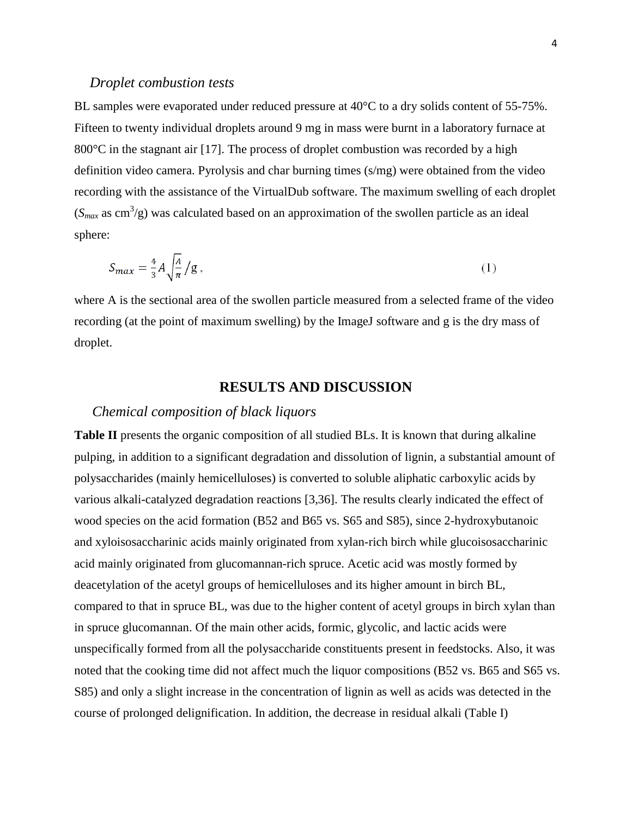#### *Droplet combustion tests*

BL samples were evaporated under reduced pressure at 40°C to a dry solids content of 55-75%. Fifteen to twenty individual droplets around 9 mg in mass were burnt in a laboratory furnace at 800°C in the stagnant air [17]. The process of droplet combustion was recorded by a high definition video camera. Pyrolysis and char burning times (s/mg) were obtained from the video recording with the assistance of the VirtualDub software. The maximum swelling of each droplet  $(S<sub>max</sub>$  as cm<sup>3</sup>/g) was calculated based on an approximation of the swollen particle as an ideal sphere:

$$
S_{max} = \frac{4}{3}A \sqrt{\frac{A}{\pi}} / g \,, \tag{1}
$$

where A is the sectional area of the swollen particle measured from a selected frame of the video recording (at the point of maximum swelling) by the ImageJ software and g is the dry mass of droplet.

# **RESULTS AND DISCUSSION**

#### *Chemical composition of black liquors*

**Table II** presents the organic composition of all studied BLs. It is known that during alkaline pulping, in addition to a significant degradation and dissolution of lignin, a substantial amount of polysaccharides (mainly hemicelluloses) is converted to soluble aliphatic carboxylic acids by various alkali-catalyzed degradation reactions [3,36]. The results clearly indicated the effect of wood species on the acid formation (B52 and B65 vs. S65 and S85), since 2-hydroxybutanoic and xyloisosaccharinic acids mainly originated from xylan-rich birch while glucoisosaccharinic acid mainly originated from glucomannan-rich spruce. Acetic acid was mostly formed by deacetylation of the acetyl groups of hemicelluloses and its higher amount in birch BL, compared to that in spruce BL, was due to the higher content of acetyl groups in birch xylan than in spruce glucomannan. Of the main other acids, formic, glycolic, and lactic acids were unspecifically formed from all the polysaccharide constituents present in feedstocks. Also, it was noted that the cooking time did not affect much the liquor compositions (B52 vs. B65 and S65 vs. S85) and only a slight increase in the concentration of lignin as well as acids was detected in the course of prolonged delignification. In addition, the decrease in residual alkali (Table I)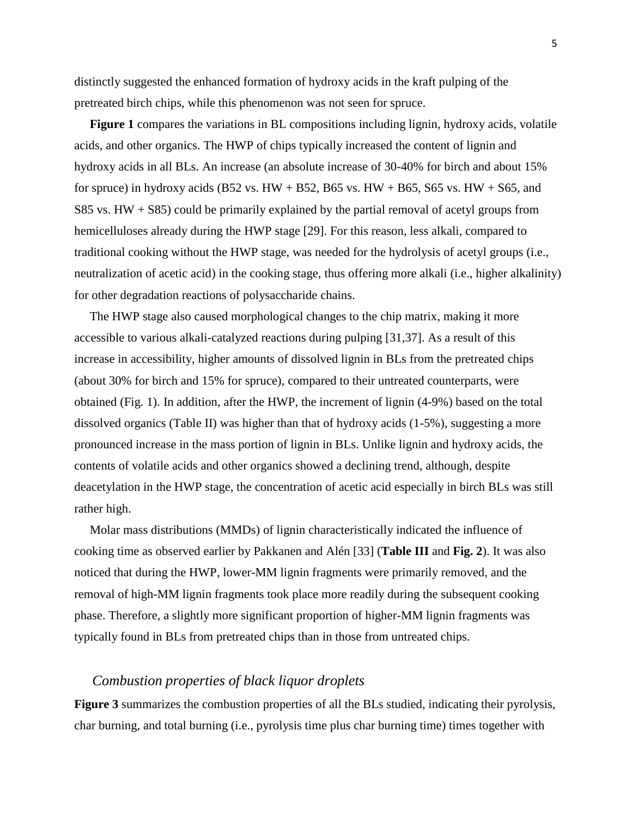distinctly suggested the enhanced formation of hydroxy acids in the kraft pulping of the pretreated birch chips, while this phenomenon was not seen for spruce.

 **Figure 1** compares the variations in BL compositions including lignin, hydroxy acids, volatile acids, and other organics. The HWP of chips typically increased the content of lignin and hydroxy acids in all BLs. An increase (an absolute increase of 30-40% for birch and about 15% for spruce) in hydroxy acids (B52 vs. HW + B52, B65 vs. HW + B65, S65 vs. HW + S65, and S85 vs.  $HW + S85$ ) could be primarily explained by the partial removal of acetyl groups from hemicelluloses already during the HWP stage [29]. For this reason, less alkali, compared to traditional cooking without the HWP stage, was needed for the hydrolysis of acetyl groups (i.e., neutralization of acetic acid) in the cooking stage, thus offering more alkali (i.e., higher alkalinity) for other degradation reactions of polysaccharide chains.

 The HWP stage also caused morphological changes to the chip matrix, making it more accessible to various alkali-catalyzed reactions during pulping [31,37]. As a result of this increase in accessibility, higher amounts of dissolved lignin in BLs from the pretreated chips (about 30% for birch and 15% for spruce), compared to their untreated counterparts, were obtained (Fig. 1). In addition, after the HWP, the increment of lignin (4-9%) based on the total dissolved organics (Table II) was higher than that of hydroxy acids (1-5%), suggesting a more pronounced increase in the mass portion of lignin in BLs. Unlike lignin and hydroxy acids, the contents of volatile acids and other organics showed a declining trend, although, despite deacetylation in the HWP stage, the concentration of acetic acid especially in birch BLs was still rather high.

 Molar mass distributions (MMDs) of lignin characteristically indicated the influence of cooking time as observed earlier by Pakkanen and Alén [33] (**Table III** and **Fig. 2**). It was also noticed that during the HWP, lower-MM lignin fragments were primarily removed, and the removal of high-MM lignin fragments took place more readily during the subsequent cooking phase. Therefore, a slightly more significant proportion of higher-MM lignin fragments was typically found in BLs from pretreated chips than in those from untreated chips.

# *Combustion properties of black liquor droplets*

**Figure 3** summarizes the combustion properties of all the BLs studied, indicating their pyrolysis, char burning, and total burning (i.e., pyrolysis time plus char burning time) times together with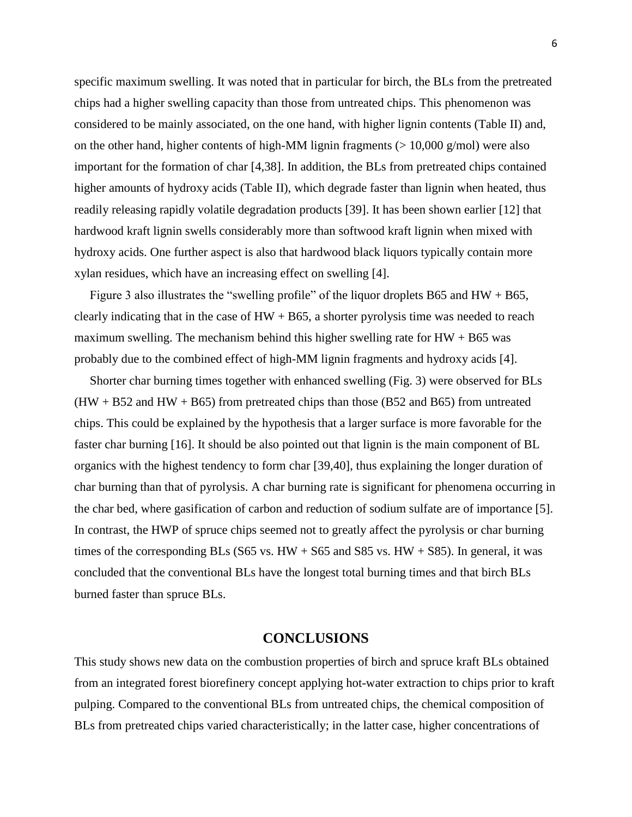specific maximum swelling. It was noted that in particular for birch, the BLs from the pretreated chips had a higher swelling capacity than those from untreated chips. This phenomenon was considered to be mainly associated, on the one hand, with higher lignin contents (Table II) and, on the other hand, higher contents of high-MM lignin fragments ( $> 10,000$  g/mol) were also important for the formation of char [4,38]. In addition, the BLs from pretreated chips contained higher amounts of hydroxy acids (Table II), which degrade faster than lignin when heated, thus readily releasing rapidly volatile degradation products [39]. It has been shown earlier [12] that hardwood kraft lignin swells considerably more than softwood kraft lignin when mixed with hydroxy acids. One further aspect is also that hardwood black liquors typically contain more xylan residues, which have an increasing effect on swelling [4].

 Figure 3 also illustrates the "swelling profile" of the liquor droplets B65 and HW + B65, clearly indicating that in the case of  $HW + B65$ , a shorter pyrolysis time was needed to reach maximum swelling. The mechanism behind this higher swelling rate for  $HW + B65$  was probably due to the combined effect of high-MM lignin fragments and hydroxy acids [4].

 Shorter char burning times together with enhanced swelling (Fig. 3) were observed for BLs  $(HW + B52$  and  $HW + B65)$  from pretreated chips than those (B52 and B65) from untreated chips. This could be explained by the hypothesis that a larger surface is more favorable for the faster char burning [16]. It should be also pointed out that lignin is the main component of BL organics with the highest tendency to form char [39,40], thus explaining the longer duration of char burning than that of pyrolysis. A char burning rate is significant for phenomena occurring in the char bed, where gasification of carbon and reduction of sodium sulfate are of importance [5]. In contrast, the HWP of spruce chips seemed not to greatly affect the pyrolysis or char burning times of the corresponding BLs (S65 vs.  $HW + S65$  and S85 vs.  $HW + S85$ ). In general, it was concluded that the conventional BLs have the longest total burning times and that birch BLs burned faster than spruce BLs.

#### **CONCLUSIONS**

This study shows new data on the combustion properties of birch and spruce kraft BLs obtained from an integrated forest biorefinery concept applying hot-water extraction to chips prior to kraft pulping. Compared to the conventional BLs from untreated chips, the chemical composition of BLs from pretreated chips varied characteristically; in the latter case, higher concentrations of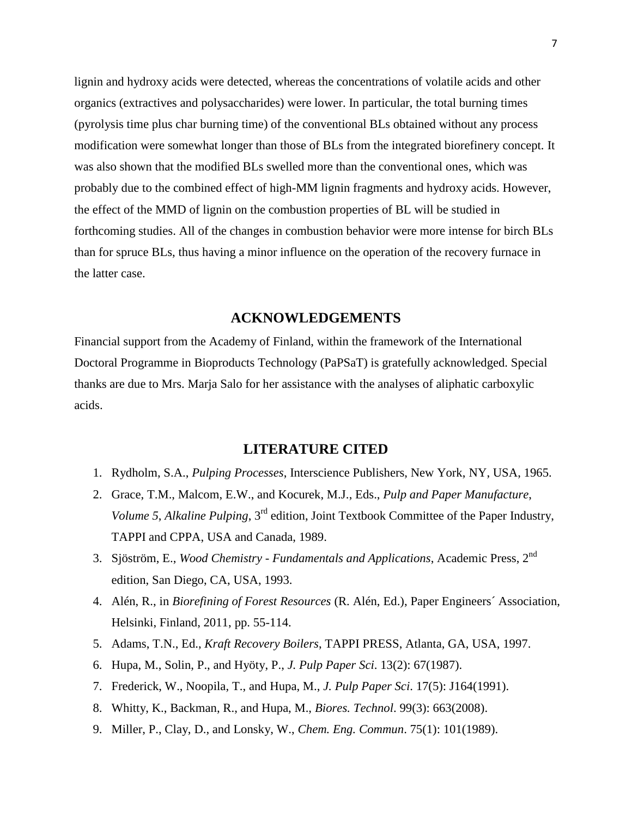lignin and hydroxy acids were detected, whereas the concentrations of volatile acids and other organics (extractives and polysaccharides) were lower. In particular, the total burning times (pyrolysis time plus char burning time) of the conventional BLs obtained without any process modification were somewhat longer than those of BLs from the integrated biorefinery concept. It was also shown that the modified BLs swelled more than the conventional ones, which was probably due to the combined effect of high-MM lignin fragments and hydroxy acids. However, the effect of the MMD of lignin on the combustion properties of BL will be studied in forthcoming studies. All of the changes in combustion behavior were more intense for birch BLs than for spruce BLs, thus having a minor influence on the operation of the recovery furnace in the latter case.

# **ACKNOWLEDGEMENTS**

Financial support from the Academy of Finland, within the framework of the International Doctoral Programme in Bioproducts Technology (PaPSaT) is gratefully acknowledged. Special thanks are due to Mrs. Marja Salo for her assistance with the analyses of aliphatic carboxylic acids.

# **LITERATURE CITED**

- 1. Rydholm, S.A., *Pulping Processes*, Interscience Publishers, New York, NY, USA, 1965.
- 2. Grace, T.M., Malcom, E.W., and Kocurek, M.J., Eds., *Pulp and Paper Manufacture*, *Volume 5*, *Alkaline Pulping*, 3rd edition, Joint Textbook Committee of the Paper Industry, TAPPI and CPPA, USA and Canada, 1989.
- 3. Sjöström, E., *Wood Chemistry - Fundamentals and Applications*, Academic Press, 2nd edition, San Diego, CA, USA, 1993.
- 4. Alén, R., in *Biorefining of Forest Resources* (R. Alén, Ed.), Paper Engineers´ Association, Helsinki, Finland, 2011, pp. 55-114.
- 5. Adams, T.N., Ed., *Kraft Recovery Boilers*, TAPPI PRESS, Atlanta, GA, USA, 1997.
- 6. Hupa, M., Solin, P., and Hyöty, P., *J. Pulp Paper Sci*. 13(2): 67(1987).
- 7. Frederick, W., Noopila, T., and Hupa, M., *J. Pulp Paper Sci*. 17(5): J164(1991).
- 8. Whitty, K., Backman, R., and Hupa, M., *Biores. Technol*. 99(3): 663(2008).
- 9. Miller, P., Clay, D., and Lonsky, W., *Chem. Eng. Commun*. 75(1): 101(1989).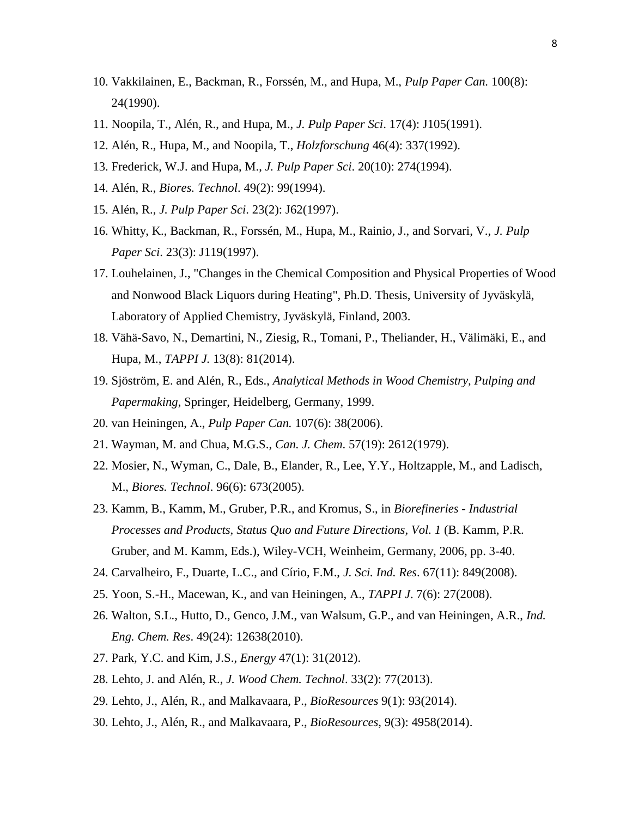- 10. Vakkilainen, E., Backman, R., Forssén, M., and Hupa, M., *Pulp Paper Can.* 100(8): 24(1990).
- 11. Noopila, T., Alén, R., and Hupa, M., *J. Pulp Paper Sci*. 17(4): J105(1991).
- 12. Alén, R., Hupa, M., and Noopila, T., *Holzforschung* 46(4): 337(1992).
- 13. Frederick, W.J. and Hupa, M., *J. Pulp Paper Sci*. 20(10): 274(1994).
- 14. Alén, R., *Biores. Technol*. 49(2): 99(1994).
- 15. Alén, R., *J. Pulp Paper Sci*. 23(2): J62(1997).
- 16. Whitty, K., Backman, R., Forssén, M., Hupa, M., Rainio, J., and Sorvari, V., *J. Pulp Paper Sci*. 23(3): J119(1997).
- 17. Louhelainen, J., "Changes in the Chemical Composition and Physical Properties of Wood and Nonwood Black Liquors during Heating", Ph.D. Thesis, University of Jyväskylä, Laboratory of Applied Chemistry, Jyväskylä, Finland, 2003.
- 18. Vähä-Savo, N., Demartini, N., Ziesig, R., Tomani, P., Theliander, H., Välimäki, E., and Hupa, M., *TAPPI J.* 13(8): 81(2014).
- 19. Sjöström, E. and Alén, R., Eds., *Analytical Methods in Wood Chemistry, Pulping and Papermaking*, Springer, Heidelberg, Germany, 1999.
- 20. van Heiningen, A., *Pulp Paper Can.* 107(6): 38(2006).
- 21. Wayman, M. and Chua, M.G.S., *Can. J. Chem*. 57(19): 2612(1979).
- 22. Mosier, N., Wyman, C., Dale, B., Elander, R., Lee, Y.Y., Holtzapple, M., and Ladisch, M., *Biores. Technol*. 96(6): 673(2005).
- 23. Kamm, B., Kamm, M., Gruber, P.R., and Kromus, S., in *Biorefineries - Industrial Processes and Products, Status Quo and Future Directions, Vol. 1* (B. Kamm, P.R. Gruber, and M. Kamm, Eds.), Wiley-VCH, Weinheim, Germany, 2006, pp. 3-40.
- 24. Carvalheiro, F., Duarte, L.C., and Círio, F.M., *J. Sci. Ind. Res*. 67(11): 849(2008).
- 25. Yoon, S.-H., Macewan, K., and van Heiningen, A., *TAPPI J*. 7(6): 27(2008).
- 26. Walton, S.L., Hutto, D., Genco, J.M., van Walsum, G.P., and van Heiningen, A.R., *Ind. Eng. Chem. Res*. 49(24): 12638(2010).
- 27. Park, Y.C. and Kim, J.S., *Energy* 47(1): 31(2012).
- 28. Lehto, J. and Alén, R., *J. Wood Chem. Technol*. 33(2): 77(2013).
- 29. Lehto, J., Alén, R., and Malkavaara, P., *BioResources* 9(1): 93(2014).
- 30. Lehto, J., Alén, R., and Malkavaara, P., *BioResources*, 9(3): 4958(2014).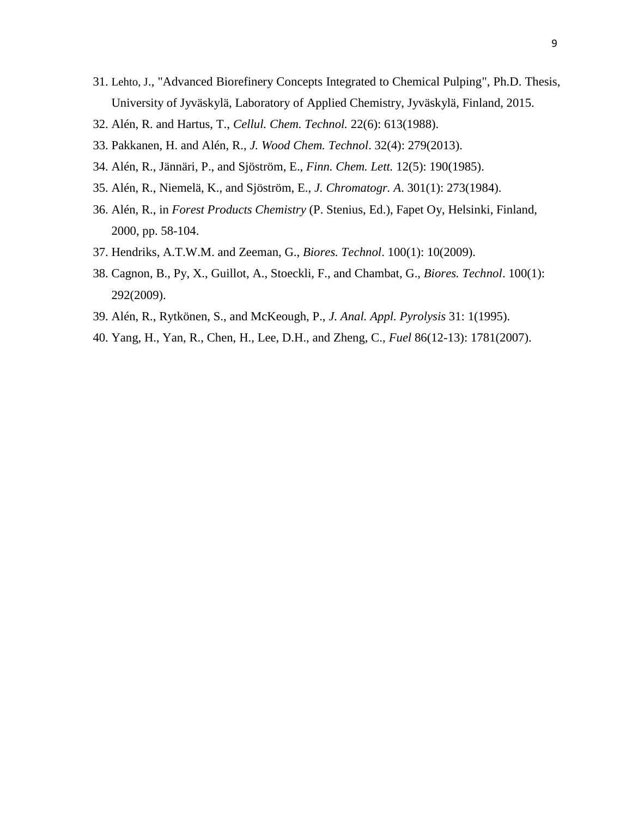- 31. Lehto, J., "Advanced Biorefinery Concepts Integrated to Chemical Pulping", Ph.D. Thesis, University of Jyväskylä, Laboratory of Applied Chemistry, Jyväskylä, Finland, 2015.
- 32. Alén, R. and Hartus, T., *Cellul. Chem. Technol.* 22(6): 613(1988).
- 33. Pakkanen, H. and Alén, R., *J. Wood Chem. Technol*. 32(4): 279(2013).
- 34. Alén, R., Jännäri, P., and Sjöström, E., *Finn. Chem. Lett.* 12(5): 190(1985).
- 35. Alén, R., Niemelä, K., and Sjöström, E., *J. Chromatogr. A*. 301(1): 273(1984).
- 36. Alén, R., in *Forest Products Chemistry* (P. Stenius, Ed.), Fapet Oy, Helsinki, Finland, 2000, pp. 58-104.
- 37. Hendriks, A.T.W.M. and Zeeman, G., *Biores. Technol*. 100(1): 10(2009).
- 38. Cagnon, B., Py, X., Guillot, A., Stoeckli, F., and Chambat, G., *Biores. Technol*. 100(1): 292(2009).
- 39. Alén, R., Rytkönen, S., and McKeough, P., *J. Anal. Appl. Pyrolysis* 31: 1(1995).
- 40. Yang, H., Yan, R., Chen, H., Lee, D.H., and Zheng, C., *Fuel* 86(12-13): 1781(2007).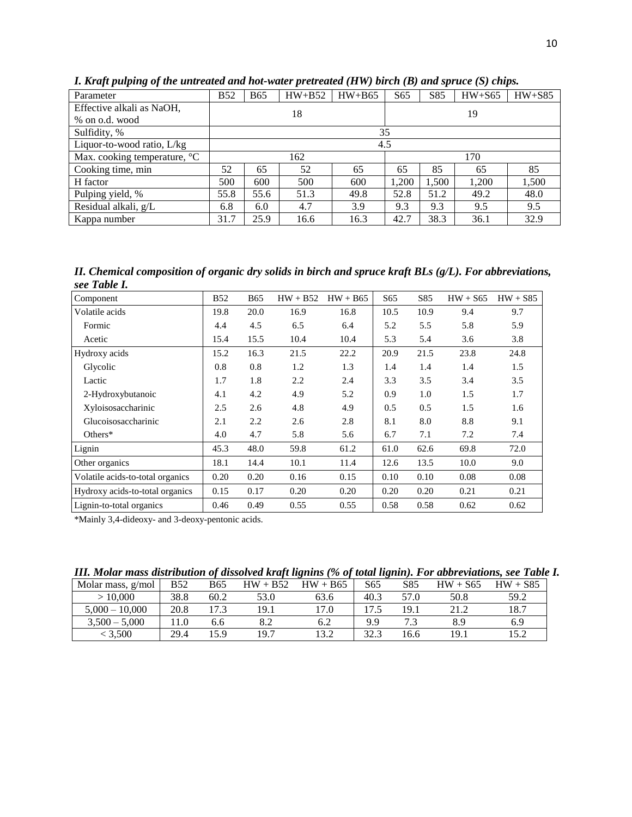| Parameter                    | <b>B52</b>                                           | <b>B65</b> | $HW+B52$ | $HW+B65$ | S <sub>65</sub> | S85   | $HW+S65$ | $HW+S85$ |  |  |
|------------------------------|------------------------------------------------------|------------|----------|----------|-----------------|-------|----------|----------|--|--|
| Effective alkali as NaOH,    | 18                                                   |            |          |          | 19              |       |          |          |  |  |
| % on o.d. wood               |                                                      |            |          |          |                 |       |          |          |  |  |
| Sulfidity, %                 | 35                                                   |            |          |          |                 |       |          |          |  |  |
| Liquor-to-wood ratio, $L/kg$ | 4.5                                                  |            |          |          |                 |       |          |          |  |  |
| Max. cooking temperature, °C | 162                                                  |            |          |          | 170             |       |          |          |  |  |
| Cooking time, min            | 52<br>65<br>52<br>65                                 |            |          | 65       | 85              | 65    | 85       |          |  |  |
| H factor                     | 500                                                  | 600        | 500      | 600      | 1,200           | 1,500 | 1,200    | 1,500    |  |  |
| Pulping yield, %             | 55.8                                                 | 55.6       | 51.3     | 49.8     | 52.8            | 51.2  | 49.2     | 48.0     |  |  |
| Residual alkali, g/L         | 6.8                                                  | 6.0        | 4.7      | 3.9      | 9.3             | 9.3   | 9.5      | 9.5      |  |  |
| Kappa number                 | 38.3<br>25.9<br>31.7<br>16.3<br>42.7<br>36.1<br>16.6 |            |          |          |                 |       | 32.9     |          |  |  |

*I. Kraft pulping of the untreated and hot-water pretreated (HW) birch (B) and spruce (S) chips.*

*II. Chemical composition of organic dry solids in birch and spruce kraft BLs (g/L). For abbreviations, see Table I.*

| Component                        | <b>B52</b> | <b>B65</b> | $HW + B52$ | $HW + B65$ | S65  | S85  | $HW + S65$ | $HW + S85$ |
|----------------------------------|------------|------------|------------|------------|------|------|------------|------------|
| Volatile acids                   | 19.8       | 20.0       | 16.9       | 16.8       | 10.5 | 10.9 | 9.4        | 9.7        |
| Formic                           | 4.4        | 4.5        | 6.5        | 6.4        | 5.2  | 5.5  | 5.8        | 5.9        |
| Acetic                           | 15.4       | 15.5       | 10.4       | 10.4       | 5.3  | 5.4  | 3.6        | 3.8        |
| Hydroxy acids                    | 15.2       | 16.3       | 21.5       | 22.2       | 20.9 | 21.5 | 23.8       | 24.8       |
| Glycolic                         | 0.8        | 0.8        | 1.2        | 1.3        | 1.4  | 1.4  | 1.4        | 1.5        |
| Lactic                           | 1.7        | 1.8        | 2.2        | 2.4        | 3.3  | 3.5  | 3.4        | 3.5        |
| 2-Hydroxybutanoic                | 4.1        | 4.2        | 4.9        | 5.2        | 0.9  | 1.0  | 1.5        | 1.7        |
| Xyloisosaccharinic               | 2.5        | 2.6        | 4.8        | 4.9        | 0.5  | 0.5  | 1.5        | 1.6        |
| Glucoisosaccharinic              | 2.1        | 2.2        | 2.6        | 2.8        | 8.1  | 8.0  | 8.8        | 9.1        |
| Others $*$                       | 4.0        | 4.7        | 5.8        | 5.6        | 6.7  | 7.1  | 7.2        | 7.4        |
| Lignin                           | 45.3       | 48.0       | 59.8       | 61.2       | 61.0 | 62.6 | 69.8       | 72.0       |
| Other organics                   | 18.1       | 14.4       | 10.1       | 11.4       | 12.6 | 13.5 | 10.0       | 9.0        |
| Volatile acids-to-total organics | 0.20       | 0.20       | 0.16       | 0.15       | 0.10 | 0.10 | 0.08       | 0.08       |
| Hydroxy acids-to-total organics  | 0.15       | 0.17       | 0.20       | 0.20       | 0.20 | 0.20 | 0.21       | 0.21       |
| Lignin-to-total organics         | 0.46       | 0.49       | 0.55       | 0.55       | 0.58 | 0.58 | 0.62       | 0.62       |

\*Mainly 3,4-dideoxy- and 3-deoxy-pentonic acids.

| III. Molar mass distribution of dissolved kraft lignins (% of total lignin). For abbreviations, see Table I. |  |  |
|--------------------------------------------------------------------------------------------------------------|--|--|
|                                                                                                              |  |  |

|                   |            |      |            | . .        |                 |      |            |            |
|-------------------|------------|------|------------|------------|-----------------|------|------------|------------|
| Molar mass, g/mol | <b>B52</b> | B65  | $HW + B52$ | $HW + B65$ | S <sub>65</sub> | S85  | $HW + S65$ | $HW + S85$ |
| >10,000           | 38.8       | 60.2 | 53.0       | 63.6       | 40.3            | 57.0 | 50.8       | 59.2       |
| $5.000 - 10.000$  | 20.8       | 172  | 19.1       | l 7.0      |                 | 19.1 | 21 Z       | 18.7       |
| $3,500 - 5,000$   |            | 6.6  | 8.2        | 6.2        | 9.9             |      | 8.9        | 6.9        |
| < 3.500           | 29.4       | 15.9 | 19.7       | 13.2       | 202<br>ن. ک     | 16.6 | 19.1       | I 5.2      |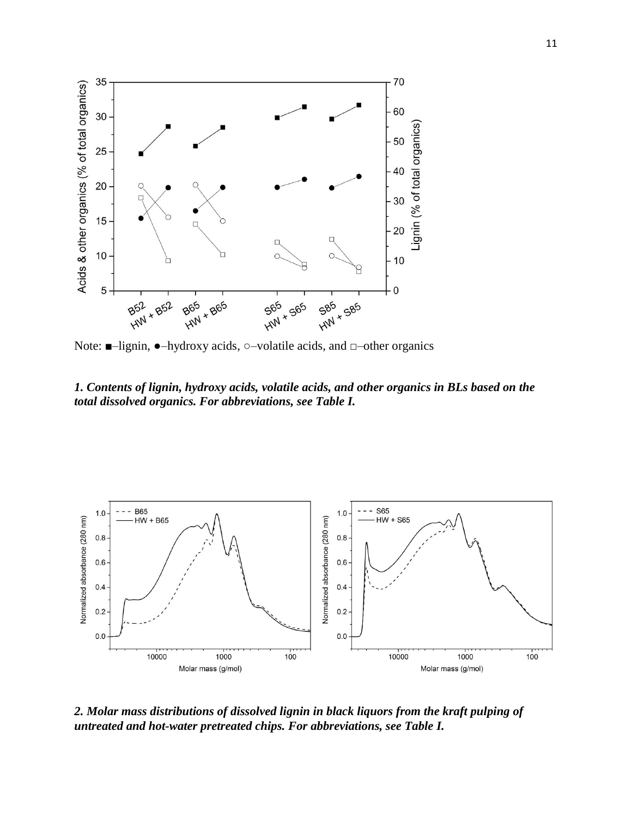

Note:  $\blacksquare$ -lignin,  $\lozenge$ -hydroxy acids,  $\circ$ -volatile acids, and  $\Box$ -other organics

*1. Contents of lignin, hydroxy acids, volatile acids, and other organics in BLs based on the total dissolved organics. For abbreviations, see Table I.*



*2. Molar mass distributions of dissolved lignin in black liquors from the kraft pulping of untreated and hot-water pretreated chips. For abbreviations, see Table I.*